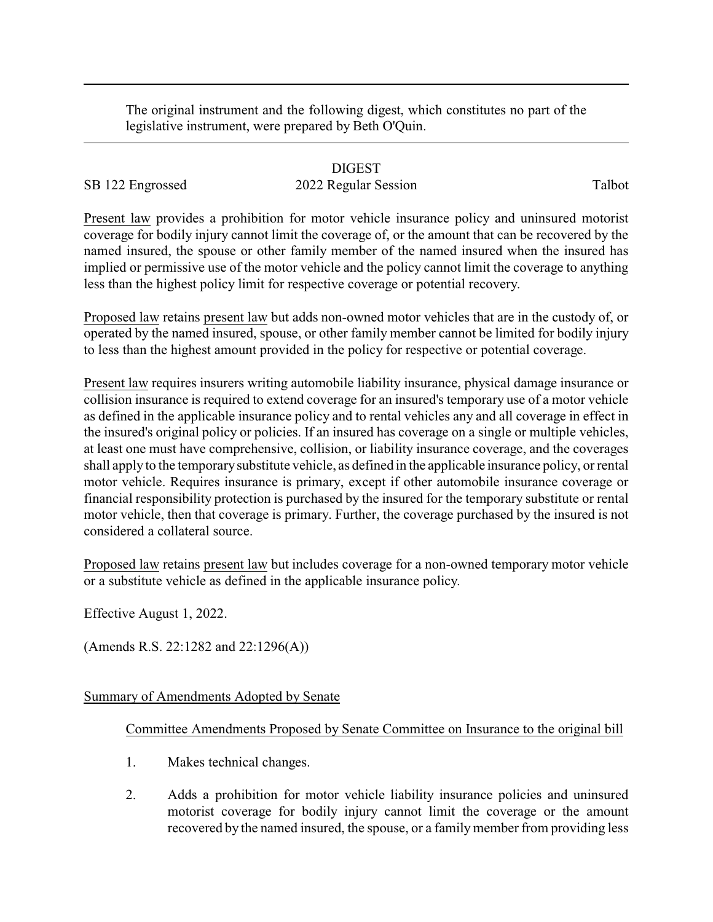The original instrument and the following digest, which constitutes no part of the legislative instrument, were prepared by Beth O'Quin.

## DIGEST

SB 122 Engrossed 2022 Regular Session Talbot

Present law provides a prohibition for motor vehicle insurance policy and uninsured motorist coverage for bodily injury cannot limit the coverage of, or the amount that can be recovered by the named insured, the spouse or other family member of the named insured when the insured has implied or permissive use of the motor vehicle and the policy cannot limit the coverage to anything less than the highest policy limit for respective coverage or potential recovery.

Proposed law retains present law but adds non-owned motor vehicles that are in the custody of, or operated by the named insured, spouse, or other family member cannot be limited for bodily injury to less than the highest amount provided in the policy for respective or potential coverage.

Present law requires insurers writing automobile liability insurance, physical damage insurance or collision insurance is required to extend coverage for an insured's temporary use of a motor vehicle as defined in the applicable insurance policy and to rental vehicles any and all coverage in effect in the insured's original policy or policies. If an insured has coverage on a single or multiple vehicles, at least one must have comprehensive, collision, or liability insurance coverage, and the coverages shall apply to the temporarysubstitute vehicle, as defined in the applicable insurance policy, or rental motor vehicle. Requires insurance is primary, except if other automobile insurance coverage or financial responsibility protection is purchased by the insured for the temporary substitute or rental motor vehicle, then that coverage is primary. Further, the coverage purchased by the insured is not considered a collateral source.

Proposed law retains present law but includes coverage for a non-owned temporary motor vehicle or a substitute vehicle as defined in the applicable insurance policy.

Effective August 1, 2022.

(Amends R.S. 22:1282 and 22:1296(A))

## Summary of Amendments Adopted by Senate

## Committee Amendments Proposed by Senate Committee on Insurance to the original bill

- 1. Makes technical changes.
- 2. Adds a prohibition for motor vehicle liability insurance policies and uninsured motorist coverage for bodily injury cannot limit the coverage or the amount recovered by the named insured, the spouse, or a family member from providing less